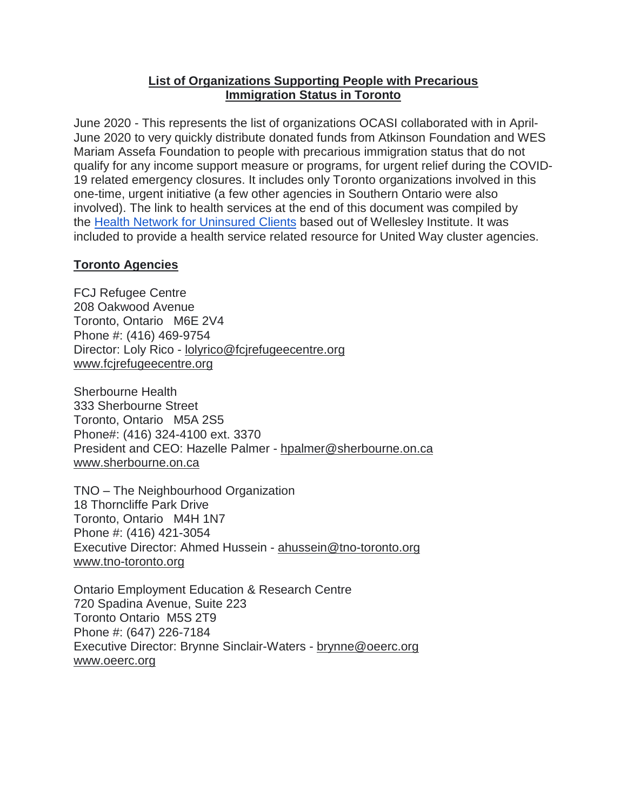## **List of Organizations Supporting People with Precarious Immigration Status in Toronto**

June 2020 - This represents the list of organizations OCASI collaborated with in April-June 2020 to very quickly distribute donated funds from Atkinson Foundation and WES Mariam Assefa Foundation to people with precarious immigration status that do not qualify for any income support measure or programs, for urgent relief during the COVID-19 related emergency closures. It includes only Toronto organizations involved in this one-time, urgent initiative (a few other agencies in Southern Ontario were also involved). The link to health services at the end of this document was compiled by the Health Network for [Uninsured](https://www.wellesleyinstitute.com/topics/health-equity/health-network-on-uninsured-clients/) Clients based out of Wellesley Institute. It was included to provide a health service related resource for United Way cluster agencies.

## **Toronto Agencies**

FCJ Refugee Centre 208 Oakwood Avenue Toronto, Ontario M6E 2V4 Phone #: (416) 469-9754 Director: Loly Rico - [lolyrico@fcjrefugeecentre.org](about:blank) [www.fcjrefugeecentre.org](about:blank)

Sherbourne Health 333 Sherbourne Street Toronto, Ontario M5A 2S5 Phone#: (416) 324-4100 ext. 3370 President and CEO: Hazelle Palmer - [hpalmer@sherbourne.on.ca](about:blank) [www.sherbourne.on.ca](about:blank)

TNO – The Neighbourhood Organization 18 Thorncliffe Park Drive Toronto, Ontario M4H 1N7 Phone #: (416) 421-3054 Executive Director: Ahmed Hussein - [ahussein@tno-toronto.org](about:blank) [www.tno-toronto.org](about:blank)

Ontario Employment Education & Research Centre 720 Spadina Avenue, Suite 223 Toronto Ontario M5S 2T9 Phone #: (647) 226-7184 Executive Director: Brynne Sinclair-Waters - [brynne@oeerc.org](about:blank) [www.oeerc.org](about:blank)